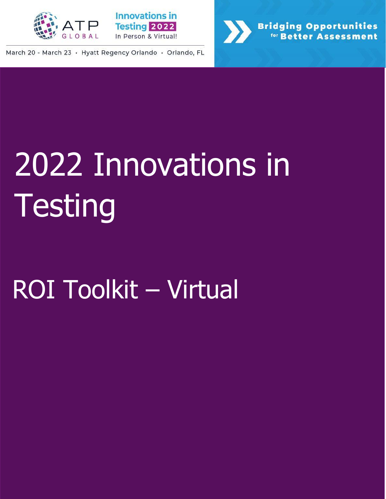



March 20 - March 23 · Hyatt Regency Orlando · Orlando, FL



# 2022 Innovations in **Testing**

## ROI Toolkit – Virtual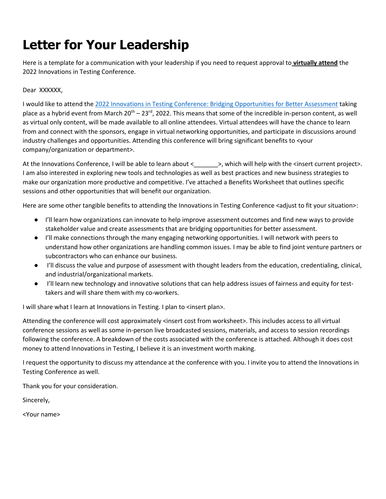#### **Letter for Your Leadership**

Here is a template for a communication with your leadership if you need to request approval to **virtually attend** the 2022 Innovations in Testing Conference.

Dear XXXXXX,

I would like to attend the [2022 Innovations in Testing Conference: Bridging Opportunities for Better Assessment](http://www.innovationsintesting.org/) taking place as a hybrid event from March  $20^{th} - 23^{rd}$ , 2022. This means that some of the incredible in-person content, as well as virtual only content, will be made available to all online attendees. Virtual attendees will have the chance to learn from and connect with the sponsors, engage in virtual networking opportunities, and participate in discussions around industry challenges and opportunities. Attending this conference will bring significant benefits to <your company/organization or department>.

At the Innovations Conference, I will be able to learn about <\_\_\_\_\_\_\_>, which will help with the <insert current project>. I am also interested in exploring new tools and technologies as well as best practices and new business strategies to make our organization more productive and competitive. I've attached a Benefits Worksheet that outlines specific sessions and other opportunities that will benefit our organization.

Here are some other tangible benefits to attending the Innovations in Testing Conference <adjust to fit your situation>:

- I'll learn how organizations can innovate to help improve assessment outcomes and find new ways to provide stakeholder value and create assessments that are bridging opportunities for better assessment.
- I'll make connections through the many engaging networking opportunities. I will network with peers to understand how other organizations are handling common issues. I may be able to find joint venture partners or subcontractors who can enhance our business.
- I'll discuss the value and purpose of assessment with thought leaders from the education, credentialing, clinical, and industrial/organizational markets.
- I'll learn new technology and innovative solutions that can help address issues of fairness and equity for testtakers and will share them with my co-workers.

I will share what I learn at Innovations in Testing. I plan to <insert plan>.

Attending the conference will cost approximately <insert cost from worksheet>. This includes access to all virtual conference sessions as well as some in-person live broadcasted sessions, materials, and access to session recordings following the conference. A breakdown of the costs associated with the conference is attached. Although it does cost money to attend Innovations in Testing, I believe it is an investment worth making.

I request the opportunity to discuss my attendance at the conference with you. I invite you to attend the Innovations in Testing Conference as well.

Thank you for your consideration.

Sincerely,

<Your name>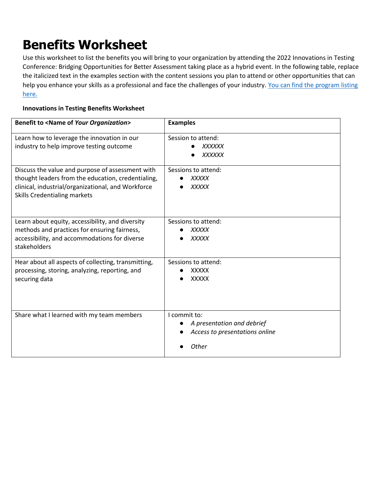#### **Benefits Worksheet**

Use this worksheet to list the benefits you will bring to your organization by attending the 2022 Innovations in Testing Conference: Bridging Opportunities for Better Assessment taking place as a hybrid event. In the following table, replace the italicized text in the examples section with the content sessions you plan to attend or other opportunities that can help you enhance your skills as a professional and face the challenges of your industry. You can find the program listing [here.](https://na.eventscloud.com/ehome/index.php?eventid=631004&tabid=1140333)

#### **Innovations in Testing Benefits Worksheet**

| <b>Benefit to <name of="" organization="" your=""></name></b>                                                                                                                                | <b>Examples</b>                                                                              |
|----------------------------------------------------------------------------------------------------------------------------------------------------------------------------------------------|----------------------------------------------------------------------------------------------|
| Learn how to leverage the innovation in our<br>industry to help improve testing outcome                                                                                                      | Session to attend:<br>XXXXXX<br><b>XXXXXX</b>                                                |
| Discuss the value and purpose of assessment with<br>thought leaders from the education, credentialing,<br>clinical, industrial/organizational, and Workforce<br>Skills Credentialing markets | Sessions to attend:<br><b>XXXXX</b><br><b>XXXXX</b>                                          |
| Learn about equity, accessibility, and diversity<br>methods and practices for ensuring fairness,<br>accessibility, and accommodations for diverse<br>stakeholders                            | Sessions to attend:<br><b>XXXXX</b><br><b>XXXXX</b>                                          |
| Hear about all aspects of collecting, transmitting,<br>processing, storing, analyzing, reporting, and<br>securing data                                                                       | Sessions to attend:<br><b>XXXXX</b><br><b>XXXXX</b>                                          |
| Share what I learned with my team members                                                                                                                                                    | I commit to:<br>A presentation and debrief<br>Access to presentations online<br><b>Other</b> |